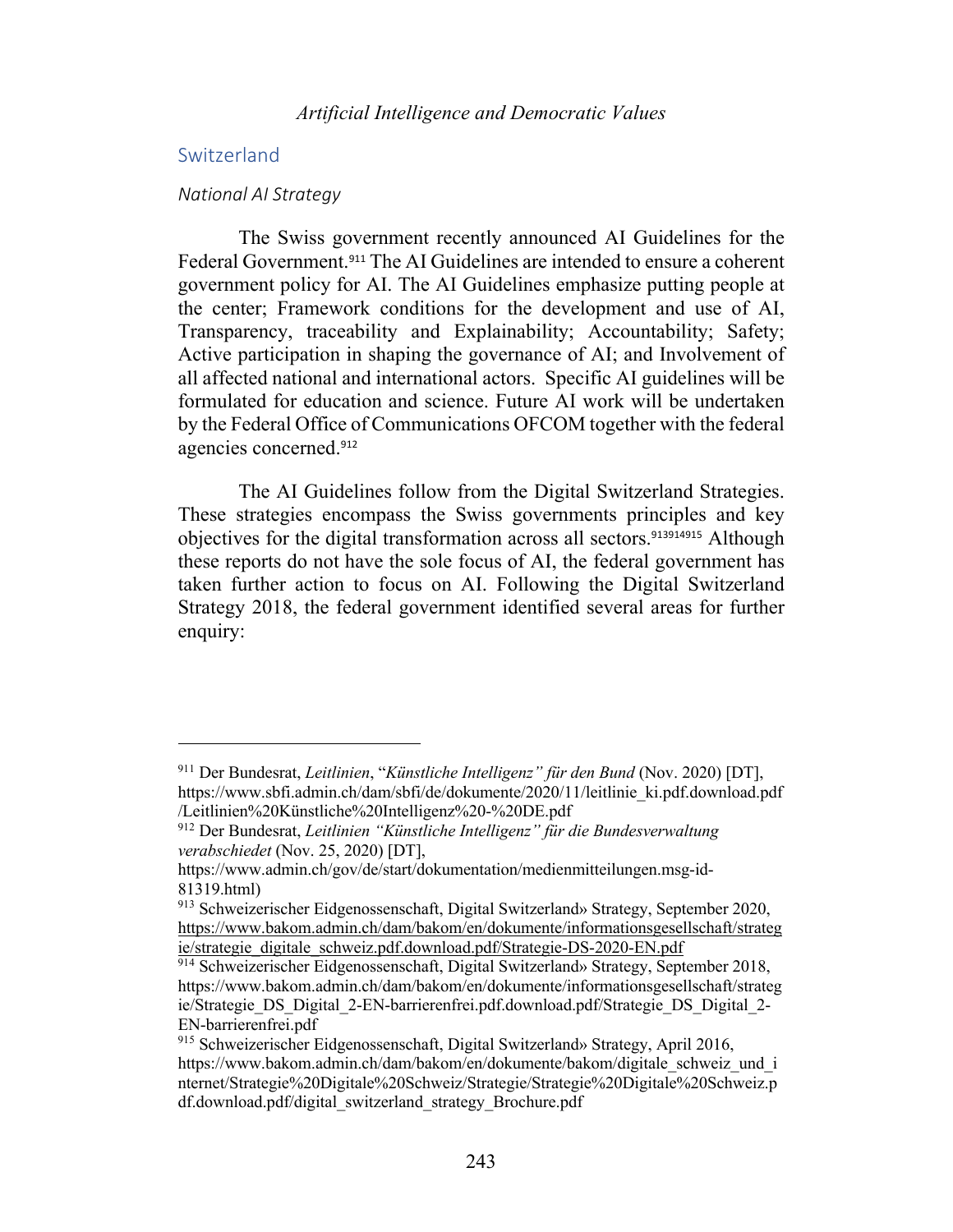## Switzerland

#### *National AI Strategy*

The Swiss government recently announced AI Guidelines for the Federal Government.<sup>911</sup> The AI Guidelines are intended to ensure a coherent government policy for AI. The AI Guidelines emphasize putting people at the center; Framework conditions for the development and use of AI, Transparency, traceability and Explainability; Accountability; Safety; Active participation in shaping the governance of AI; and Involvement of all affected national and international actors. Specific AI guidelines will be formulated for education and science. Future AI work will be undertaken by the Federal Office of Communications OFCOM together with the federal agencies concerned. 912

The AI Guidelines follow from the Digital Switzerland Strategies. These strategies encompass the Swiss governments principles and key objectives for the digital transformation across all sectors.<sup>913914915</sup> Although these reports do not have the sole focus of AI, the federal government has taken further action to focus on AI. Following the Digital Switzerland Strategy 2018, the federal government identified several areas for further enquiry:

<sup>911</sup> Der Bundesrat, *Leitlinien*, "*Künstliche Intelligenz" für den Bund* (Nov. 2020) [DT], https://www.sbfi.admin.ch/dam/sbfi/de/dokumente/2020/11/leitlinie\_ki.pdf.download.pdf /Leitlinien%20Künstliche%20Intelligenz%20-%20DE.pdf

<sup>912</sup> Der Bundesrat, *Leitlinien "Künstliche Intelligenz" für die Bundesverwaltung verabschiedet* (Nov. 25, 2020) [DT],

https://www.admin.ch/gov/de/start/dokumentation/medienmitteilungen.msg-id-81319.html)

<sup>913</sup> Schweizerischer Eidgenossenschaft, Digital Switzerland» Strategy, September 2020, https://www.bakom.admin.ch/dam/bakom/en/dokumente/informationsgesellschaft/strateg ie/strategie\_digitale\_schweiz.pdf.download.pdf/Strategie-DS-2020-EN.pdf

<sup>914</sup> Schweizerischer Eidgenossenschaft, Digital Switzerland» Strategy, September 2018, https://www.bakom.admin.ch/dam/bakom/en/dokumente/informationsgesellschaft/strateg ie/Strategie\_DS\_Digital\_2-EN-barrierenfrei.pdf.download.pdf/Strategie\_DS\_Digital\_2- EN-barrierenfrei.pdf

<sup>915</sup> Schweizerischer Eidgenossenschaft, Digital Switzerland» Strategy, April 2016, https://www.bakom.admin.ch/dam/bakom/en/dokumente/bakom/digitale\_schweiz\_und\_i nternet/Strategie%20Digitale%20Schweiz/Strategie/Strategie%20Digitale%20Schweiz.p df.download.pdf/digital\_switzerland\_strategy\_Brochure.pdf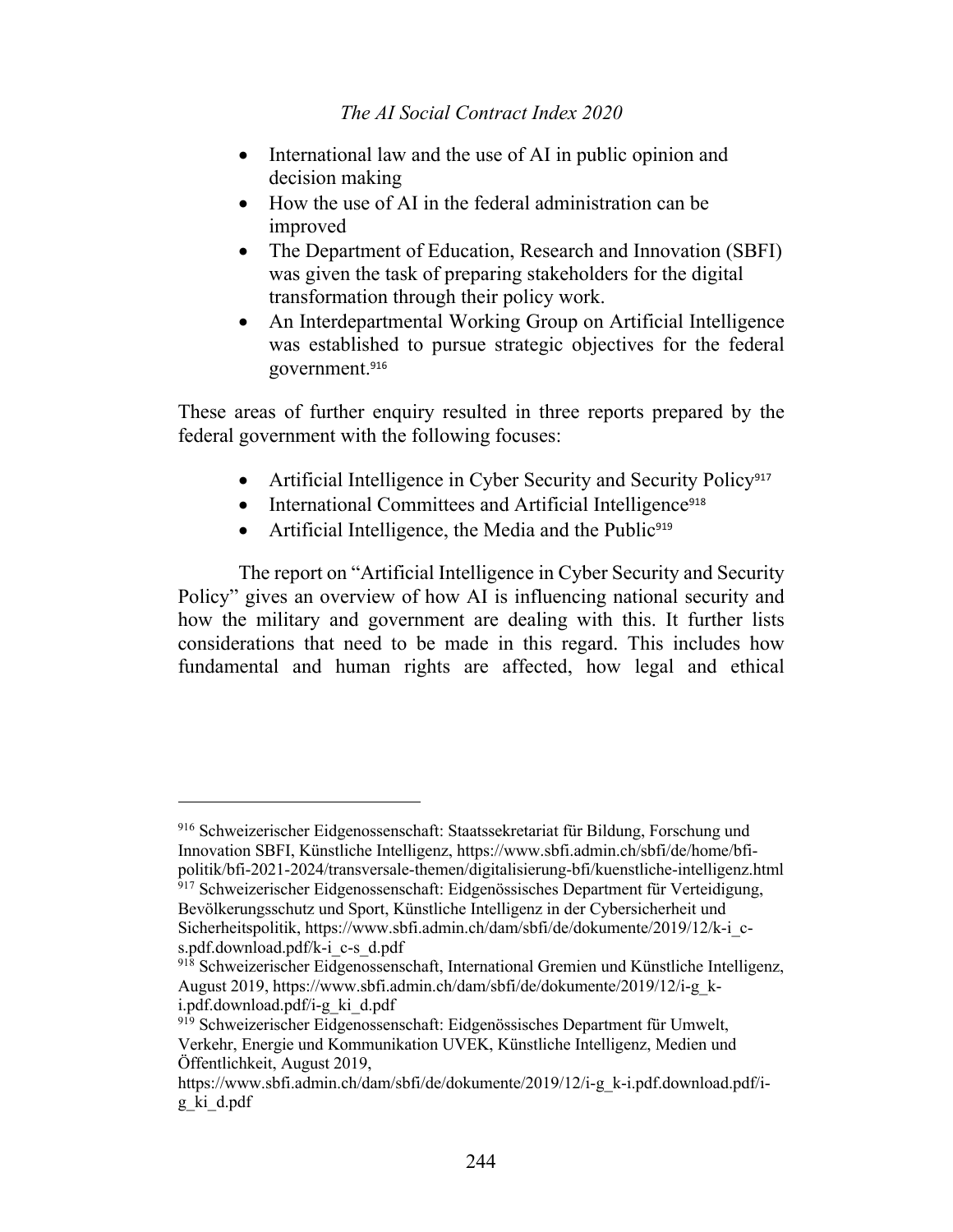- International law and the use of AI in public opinion and decision making
- How the use of AI in the federal administration can be improved
- The Department of Education, Research and Innovation (SBFI) was given the task of preparing stakeholders for the digital transformation through their policy work.
- An Interdepartmental Working Group on Artificial Intelligence was established to pursue strategic objectives for the federal government.<sup>916</sup>

These areas of further enquiry resulted in three reports prepared by the federal government with the following focuses:

- Artificial Intelligence in Cyber Security and Security Policy<sup>917</sup>
- International Committees and Artificial Intelligence<sup>918</sup>
- Artificial Intelligence, the Media and the Public<sup>919</sup>

The report on "Artificial Intelligence in Cyber Security and Security Policy" gives an overview of how AI is influencing national security and how the military and government are dealing with this. It further lists considerations that need to be made in this regard. This includes how fundamental and human rights are affected, how legal and ethical

<sup>916</sup> Schweizerischer Eidgenossenschaft: Staatssekretariat für Bildung, Forschung und Innovation SBFI, Künstliche Intelligenz, https://www.sbfi.admin.ch/sbfi/de/home/bfipolitik/bfi-2021-2024/transversale-themen/digitalisierung-bfi/kuenstliche-intelligenz.html <sup>917</sup> Schweizerischer Eidgenossenschaft: Eidgenössisches Department für Verteidigung, Bevölkerungsschutz und Sport, Künstliche Intelligenz in der Cybersicherheit und Sicherheitspolitik, https://www.sbfi.admin.ch/dam/sbfi/de/dokumente/2019/12/k-i\_cs.pdf.download.pdf/k-i\_c-s\_d.pdf

<sup>918</sup> Schweizerischer Eidgenossenschaft, International Gremien und Künstliche Intelligenz, August 2019, https://www.sbfi.admin.ch/dam/sbfi/de/dokumente/2019/12/i-g\_ki.pdf.download.pdf/i-g\_ki\_d.pdf

<sup>919</sup> Schweizerischer Eidgenossenschaft: Eidgenössisches Department für Umwelt, Verkehr, Energie und Kommunikation UVEK, Künstliche Intelligenz, Medien und Öffentlichkeit, August 2019,

https://www.sbfi.admin.ch/dam/sbfi/de/dokumente/2019/12/i-g\_k-i.pdf.download.pdf/ig\_ki\_d.pdf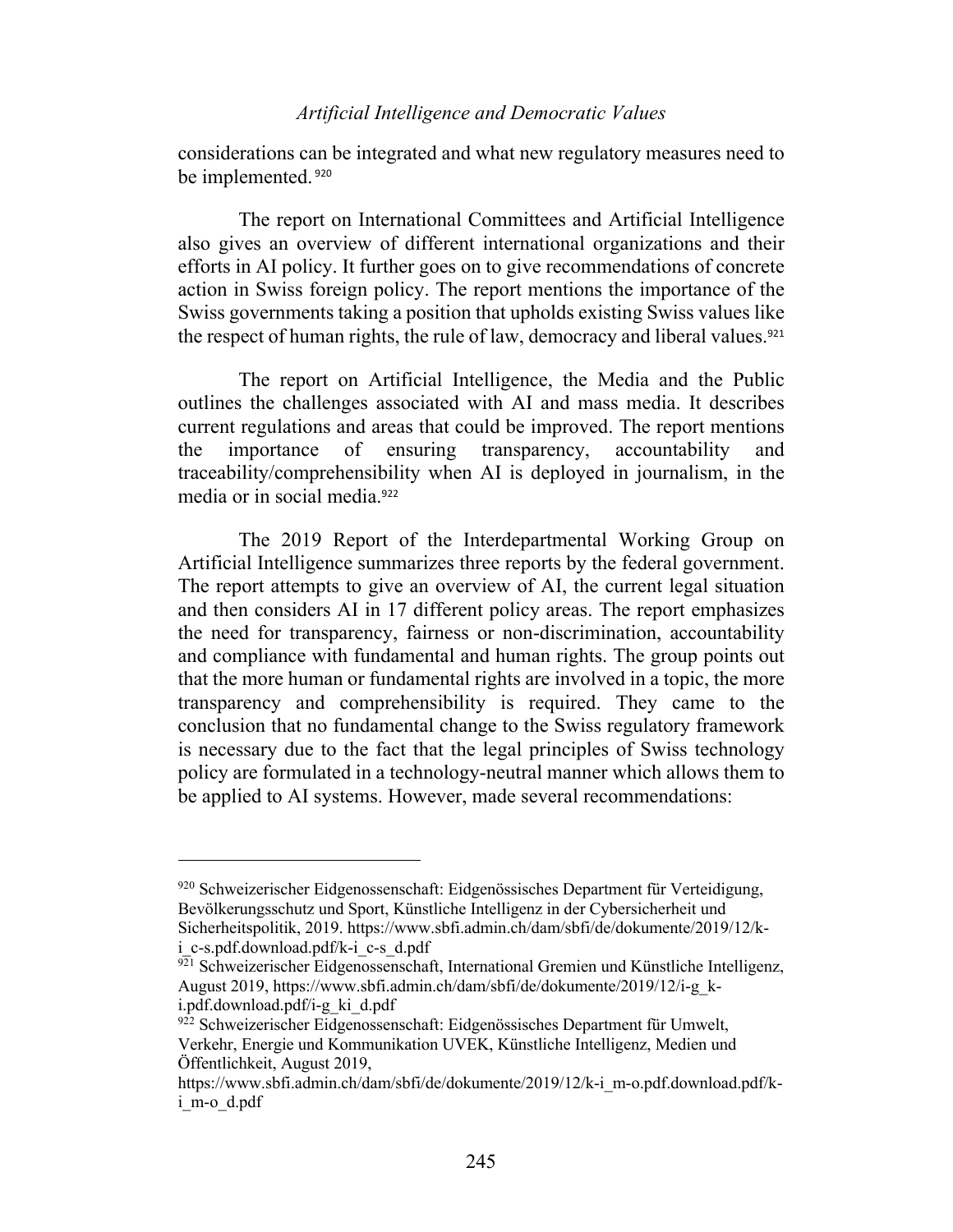considerations can be integrated and what new regulatory measures need to be implemented. <sup>920</sup>

The report on International Committees and Artificial Intelligence also gives an overview of different international organizations and their efforts in AI policy. It further goes on to give recommendations of concrete action in Swiss foreign policy. The report mentions the importance of the Swiss governments taking a position that upholds existing Swiss values like the respect of human rights, the rule of law, democracy and liberal values.<sup>921</sup>

The report on Artificial Intelligence, the Media and the Public outlines the challenges associated with AI and mass media. It describes current regulations and areas that could be improved. The report mentions the importance of ensuring transparency, accountability and traceability/comprehensibility when AI is deployed in journalism, in the media or in social media.<sup>922</sup>

The 2019 Report of the Interdepartmental Working Group on Artificial Intelligence summarizes three reports by the federal government. The report attempts to give an overview of AI, the current legal situation and then considers AI in 17 different policy areas. The report emphasizes the need for transparency, fairness or non-discrimination, accountability and compliance with fundamental and human rights. The group points out that the more human or fundamental rights are involved in a topic, the more transparency and comprehensibility is required. They came to the conclusion that no fundamental change to the Swiss regulatory framework is necessary due to the fact that the legal principles of Swiss technology policy are formulated in a technology-neutral manner which allows them to be applied to AI systems. However, made several recommendations:

<sup>920</sup> Schweizerischer Eidgenossenschaft: Eidgenössisches Department für Verteidigung, Bevölkerungsschutz und Sport, Künstliche Intelligenz in der Cybersicherheit und Sicherheitspolitik, 2019. https://www.sbfi.admin.ch/dam/sbfi/de/dokumente/2019/12/ki c-s.pdf.download.pdf/k-i c-s\_d.pdf

<sup>921</sup> Schweizerischer Eidgenossenschaft, International Gremien und Künstliche Intelligenz, August 2019, https://www.sbfi.admin.ch/dam/sbfi/de/dokumente/2019/12/i-g\_ki.pdf.download.pdf/i-g\_ki\_d.pdf

<sup>922</sup> Schweizerischer Eidgenossenschaft: Eidgenössisches Department für Umwelt, Verkehr, Energie und Kommunikation UVEK, Künstliche Intelligenz, Medien und Öffentlichkeit, August 2019,

https://www.sbfi.admin.ch/dam/sbfi/de/dokumente/2019/12/k-i\_m-o.pdf.download.pdf/ki\_m-o\_d.pdf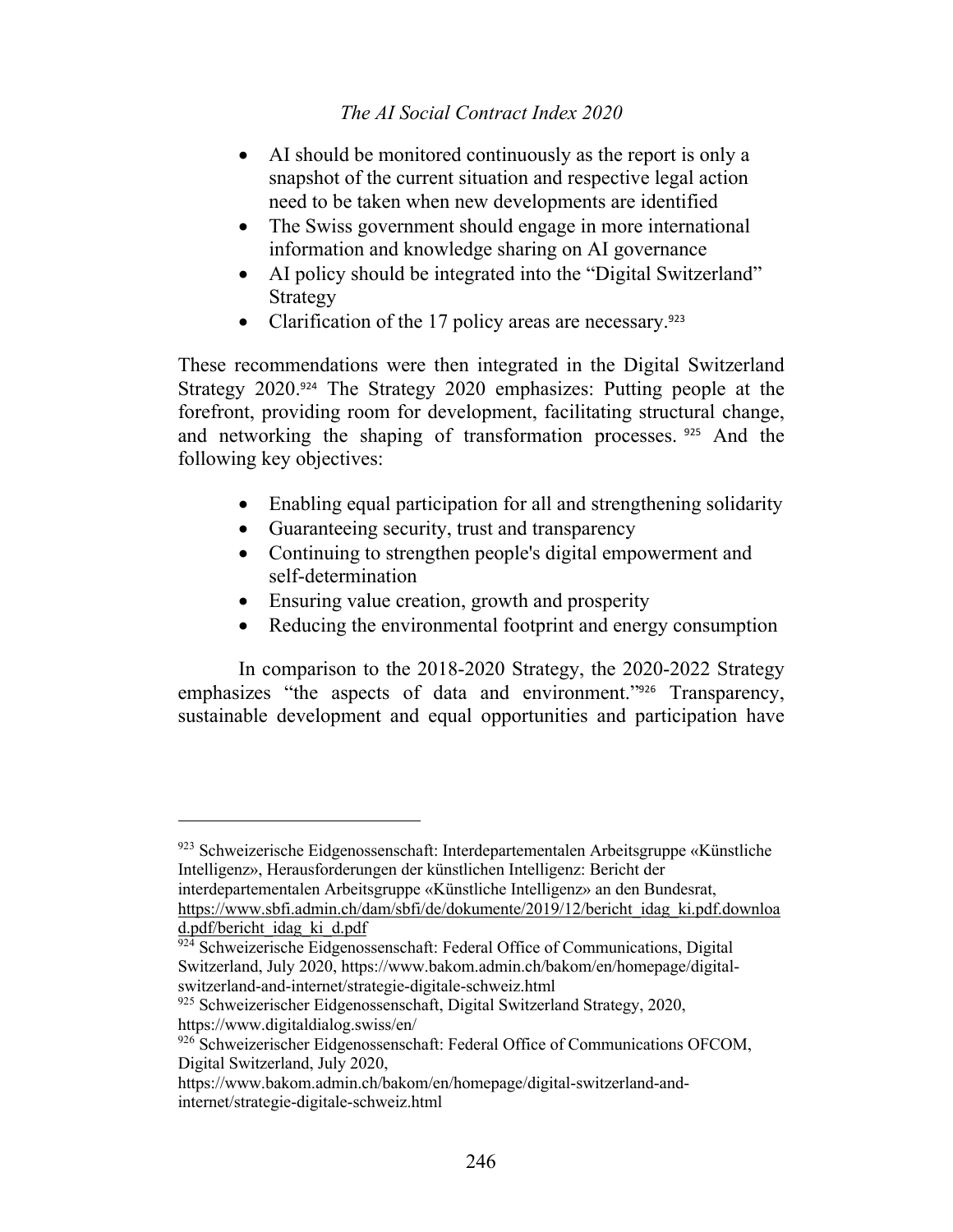- AI should be monitored continuously as the report is only a snapshot of the current situation and respective legal action need to be taken when new developments are identified
- The Swiss government should engage in more international information and knowledge sharing on AI governance
- AI policy should be integrated into the "Digital Switzerland" Strategy
- Clarification of the 17 policy areas are necessary.<sup>923</sup>

These recommendations were then integrated in the Digital Switzerland Strategy 2020.<sup>924</sup> The Strategy 2020 emphasizes: Putting people at the forefront, providing room for development, facilitating structural change, and networking the shaping of transformation processes. <sup>925</sup> And the following key objectives:

- Enabling equal participation for all and strengthening solidarity
- Guaranteeing security, trust and transparency
- Continuing to strengthen people's digital empowerment and self-determination
- Ensuring value creation, growth and prosperity
- Reducing the environmental footprint and energy consumption

In comparison to the 2018-2020 Strategy, the 2020-2022 Strategy emphasizes "the aspects of data and environment."<sup>926</sup> Transparency, sustainable development and equal opportunities and participation have

<sup>923</sup> Schweizerische Eidgenossenschaft: Interdepartementalen Arbeitsgruppe «Künstliche Intelligenz», Herausforderungen der künstlichen Intelligenz: Bericht der

interdepartementalen Arbeitsgruppe «Künstliche Intelligenz» an den Bundesrat, https://www.sbfi.admin.ch/dam/sbfi/de/dokumente/2019/12/bericht\_idag\_ki.pdf.downloa

d.pdf/bericht\_idag\_ki\_d.pdf

<sup>924</sup> Schweizerische Eidgenossenschaft: Federal Office of Communications, Digital Switzerland, July 2020, https://www.bakom.admin.ch/bakom/en/homepage/digitalswitzerland-and-internet/strategie-digitale-schweiz.html

<sup>925</sup> Schweizerischer Eidgenossenschaft, Digital Switzerland Strategy, 2020, https://www.digitaldialog.swiss/en/

<sup>926</sup> Schweizerischer Eidgenossenschaft: Federal Office of Communications OFCOM, Digital Switzerland, July 2020,

https://www.bakom.admin.ch/bakom/en/homepage/digital-switzerland-andinternet/strategie-digitale-schweiz.html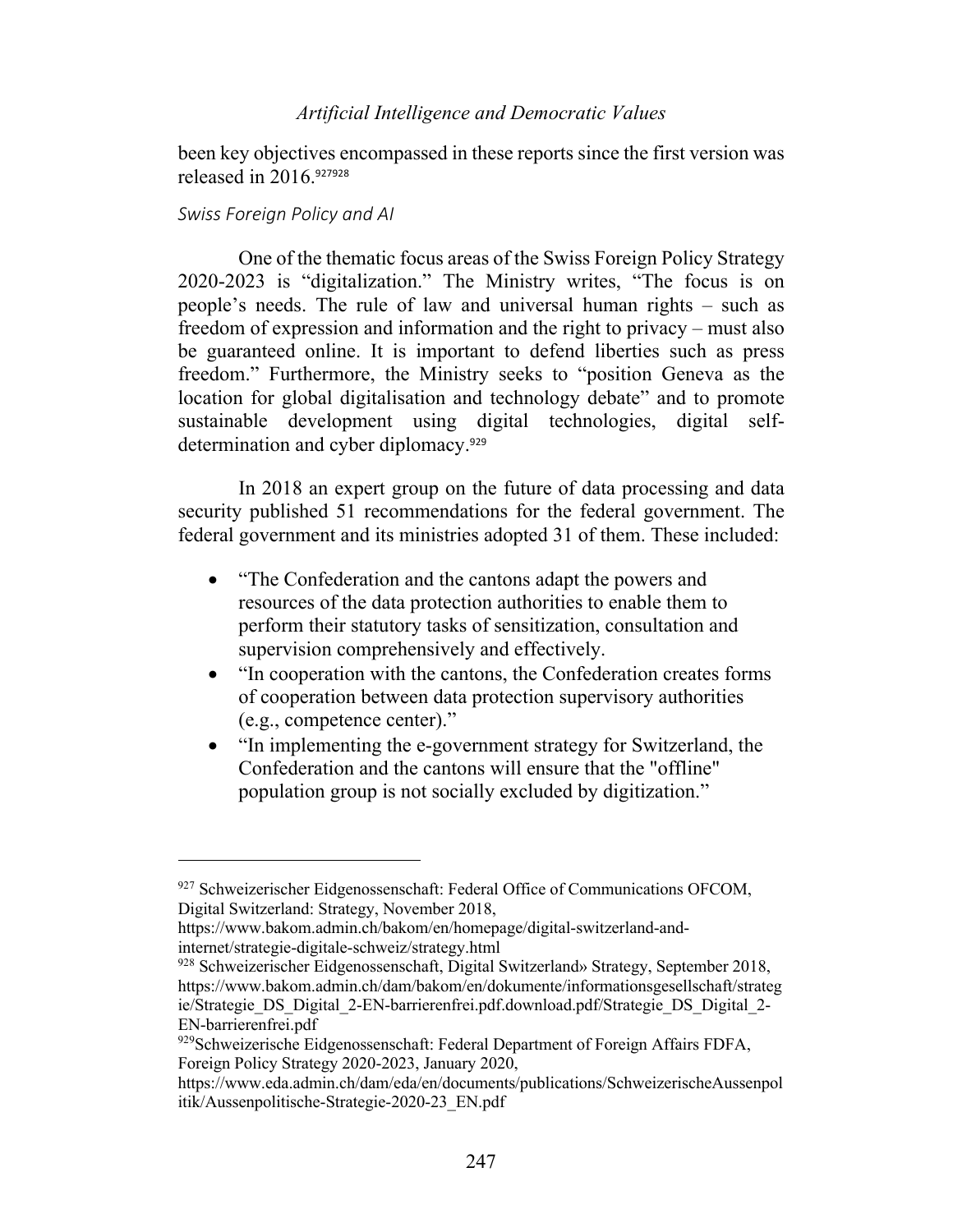been key objectives encompassed in these reports since the first version was released in 2016.<sup>927928</sup>

### *Swiss Foreign Policy and AI*

One of the thematic focus areas of the Swiss Foreign Policy Strategy 2020-2023 is "digitalization." The Ministry writes, "The focus is on people's needs. The rule of law and universal human rights – such as freedom of expression and information and the right to privacy – must also be guaranteed online. It is important to defend liberties such as press freedom." Furthermore, the Ministry seeks to "position Geneva as the location for global digitalisation and technology debate" and to promote sustainable development using digital technologies, digital selfdetermination and cyber diplomacy.<sup>929</sup>

In 2018 an expert group on the future of data processing and data security published 51 recommendations for the federal government. The federal government and its ministries adopted 31 of them. These included:

- "The Confederation and the cantons adapt the powers and resources of the data protection authorities to enable them to perform their statutory tasks of sensitization, consultation and supervision comprehensively and effectively.
- "In cooperation with the cantons, the Confederation creates forms of cooperation between data protection supervisory authorities (e.g., competence center)."
- "In implementing the e-government strategy for Switzerland, the Confederation and the cantons will ensure that the "offline" population group is not socially excluded by digitization."

<sup>927</sup> Schweizerischer Eidgenossenschaft: Federal Office of Communications OFCOM, Digital Switzerland: Strategy, November 2018,

https://www.bakom.admin.ch/bakom/en/homepage/digital-switzerland-andinternet/strategie-digitale-schweiz/strategy.html

<sup>928</sup> Schweizerischer Eidgenossenschaft, Digital Switzerland» Strategy, September 2018, https://www.bakom.admin.ch/dam/bakom/en/dokumente/informationsgesellschaft/strateg ie/Strategie\_DS\_Digital\_2-EN-barrierenfrei.pdf.download.pdf/Strategie\_DS\_Digital\_2- EN-barrierenfrei.pdf

<sup>929</sup> Schweizerische Eidgenossenschaft: Federal Department of Foreign Affairs FDFA, Foreign Policy Strategy 2020-2023, January 2020,

https://www.eda.admin.ch/dam/eda/en/documents/publications/SchweizerischeAussenpol itik/Aussenpolitische-Strategie-2020-23\_EN.pdf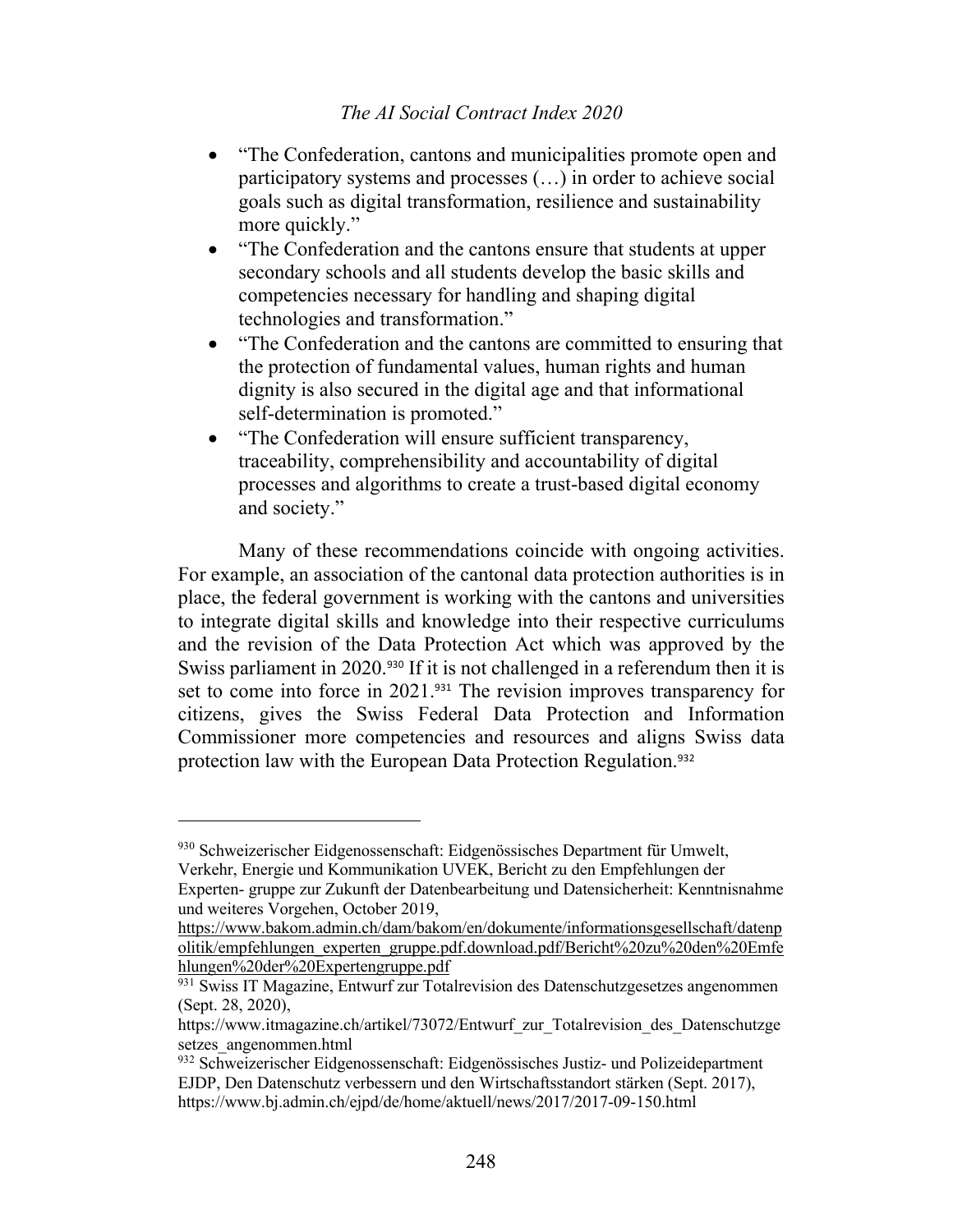- "The Confederation, cantons and municipalities promote open and participatory systems and processes (…) in order to achieve social goals such as digital transformation, resilience and sustainability more quickly."
- "The Confederation and the cantons ensure that students at upper secondary schools and all students develop the basic skills and competencies necessary for handling and shaping digital technologies and transformation."
- "The Confederation and the cantons are committed to ensuring that the protection of fundamental values, human rights and human dignity is also secured in the digital age and that informational self-determination is promoted."
- "The Confederation will ensure sufficient transparency, traceability, comprehensibility and accountability of digital processes and algorithms to create a trust-based digital economy and society."

Many of these recommendations coincide with ongoing activities. For example, an association of the cantonal data protection authorities is in place, the federal government is working with the cantons and universities to integrate digital skills and knowledge into their respective curriculums and the revision of the Data Protection Act which was approved by the Swiss parliament in 2020.<sup>930</sup> If it is not challenged in a referendum then it is set to come into force in 2021.<sup>931</sup> The revision improves transparency for citizens, gives the Swiss Federal Data Protection and Information Commissioner more competencies and resources and aligns Swiss data protection law with the European Data Protection Regulation. 932

<sup>930</sup> Schweizerischer Eidgenossenschaft: Eidgenössisches Department für Umwelt, Verkehr, Energie und Kommunikation UVEK, Bericht zu den Empfehlungen der

Experten- gruppe zur Zukunft der Datenbearbeitung und Datensicherheit: Kenntnisnahme und weiteres Vorgehen, October 2019,

https://www.bakom.admin.ch/dam/bakom/en/dokumente/informationsgesellschaft/datenp olitik/empfehlungen\_experten\_gruppe.pdf.download.pdf/Bericht%20zu%20den%20Emfe hlungen%20der%20Expertengruppe.pdf

<sup>&</sup>lt;sup>931</sup> Swiss IT Magazine, Entwurf zur Totalrevision des Datenschutzgesetzes angenommen (Sept. 28, 2020),

https://www.itmagazine.ch/artikel/73072/Entwurf\_zur\_Totalrevision\_des\_Datenschutzge setzes\_angenommen.html

<sup>932</sup> Schweizerischer Eidgenossenschaft: Eidgenössisches Justiz- und Polizeidepartment EJDP, Den Datenschutz verbessern und den Wirtschaftsstandort stärken (Sept. 2017), https://www.bj.admin.ch/ejpd/de/home/aktuell/news/2017/2017-09-150.html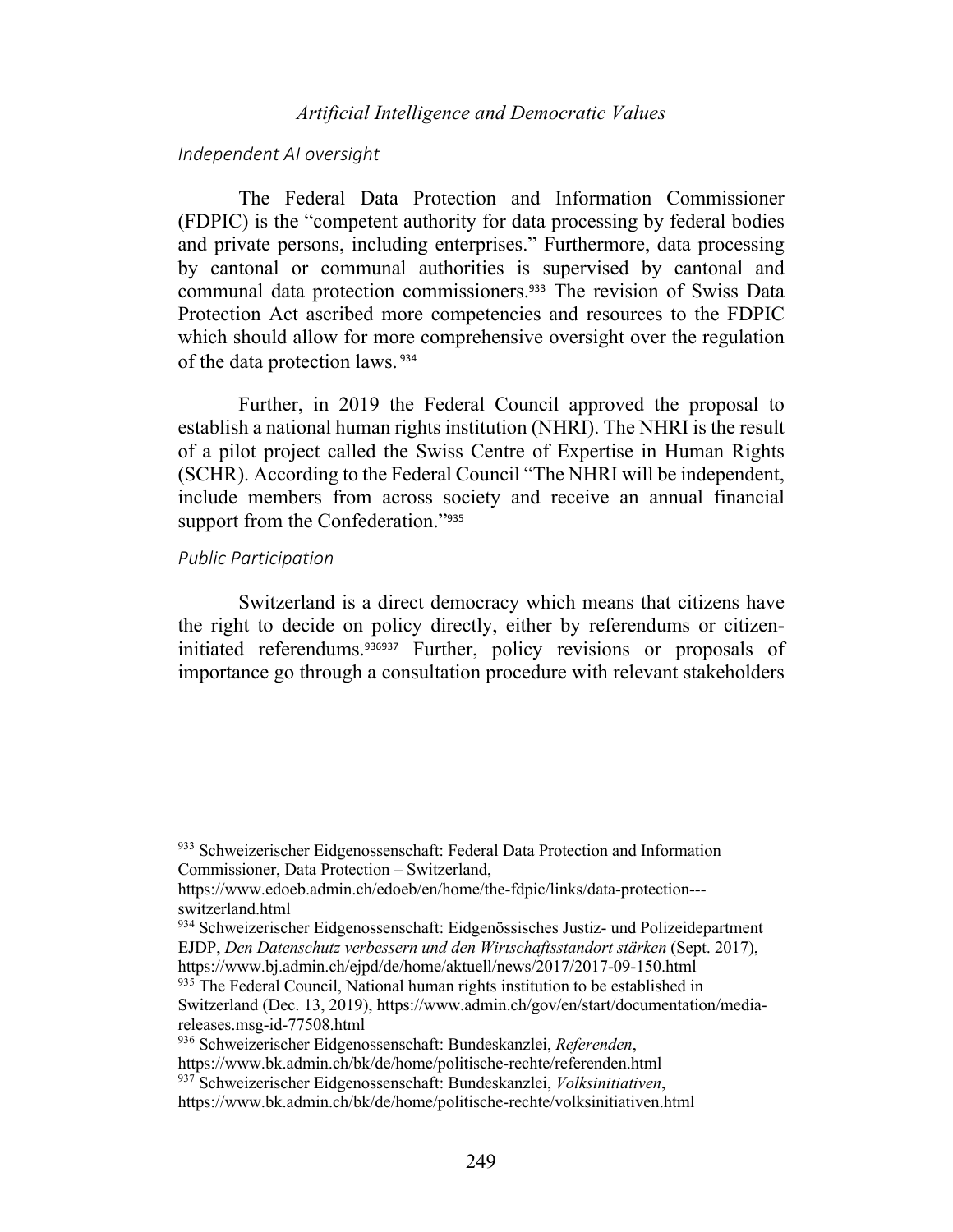### *Independent AI oversight*

The Federal Data Protection and Information Commissioner (FDPIC) is the "competent authority for data processing by federal bodies and private persons, including enterprises." Furthermore, data processing by cantonal or communal authorities is supervised by cantonal and communal data protection commissioners.<sup>933</sup> The revision of Swiss Data Protection Act ascribed more competencies and resources to the FDPIC which should allow for more comprehensive oversight over the regulation of the data protection laws. <sup>934</sup>

Further, in 2019 the Federal Council approved the proposal to establish a national human rights institution (NHRI). The NHRI is the result of a pilot project called the Swiss Centre of Expertise in Human Rights (SCHR). According to the Federal Council "The NHRI will be independent, include members from across society and receive an annual financial support from the Confederation."<sup>935</sup>

### *Public Participation*

Switzerland is a direct democracy which means that citizens have the right to decide on policy directly, either by referendums or citizeninitiated referendums.<sup>936937</sup> Further, policy revisions or proposals of importance go through a consultation procedure with relevant stakeholders

<sup>933</sup> Schweizerischer Eidgenossenschaft: Federal Data Protection and Information Commissioner, Data Protection – Switzerland,

https://www.edoeb.admin.ch/edoeb/en/home/the-fdpic/links/data-protection-- switzerland.html

<sup>934</sup> Schweizerischer Eidgenossenschaft: Eidgenössisches Justiz- und Polizeidepartment EJDP, *Den Datenschutz verbessern und den Wirtschaftsstandort stärken* (Sept. 2017), https://www.bj.admin.ch/ejpd/de/home/aktuell/news/2017/2017-09-150.html

<sup>&</sup>lt;sup>935</sup> The Federal Council, National human rights institution to be established in Switzerland (Dec. 13, 2019), https://www.admin.ch/gov/en/start/documentation/mediareleases.msg-id-77508.html

<sup>936</sup> Schweizerischer Eidgenossenschaft: Bundeskanzlei, *Referenden*,

https://www.bk.admin.ch/bk/de/home/politische-rechte/referenden.html

<sup>937</sup> Schweizerischer Eidgenossenschaft: Bundeskanzlei, *Volksinitiativen*,

https://www.bk.admin.ch/bk/de/home/politische-rechte/volksinitiativen.html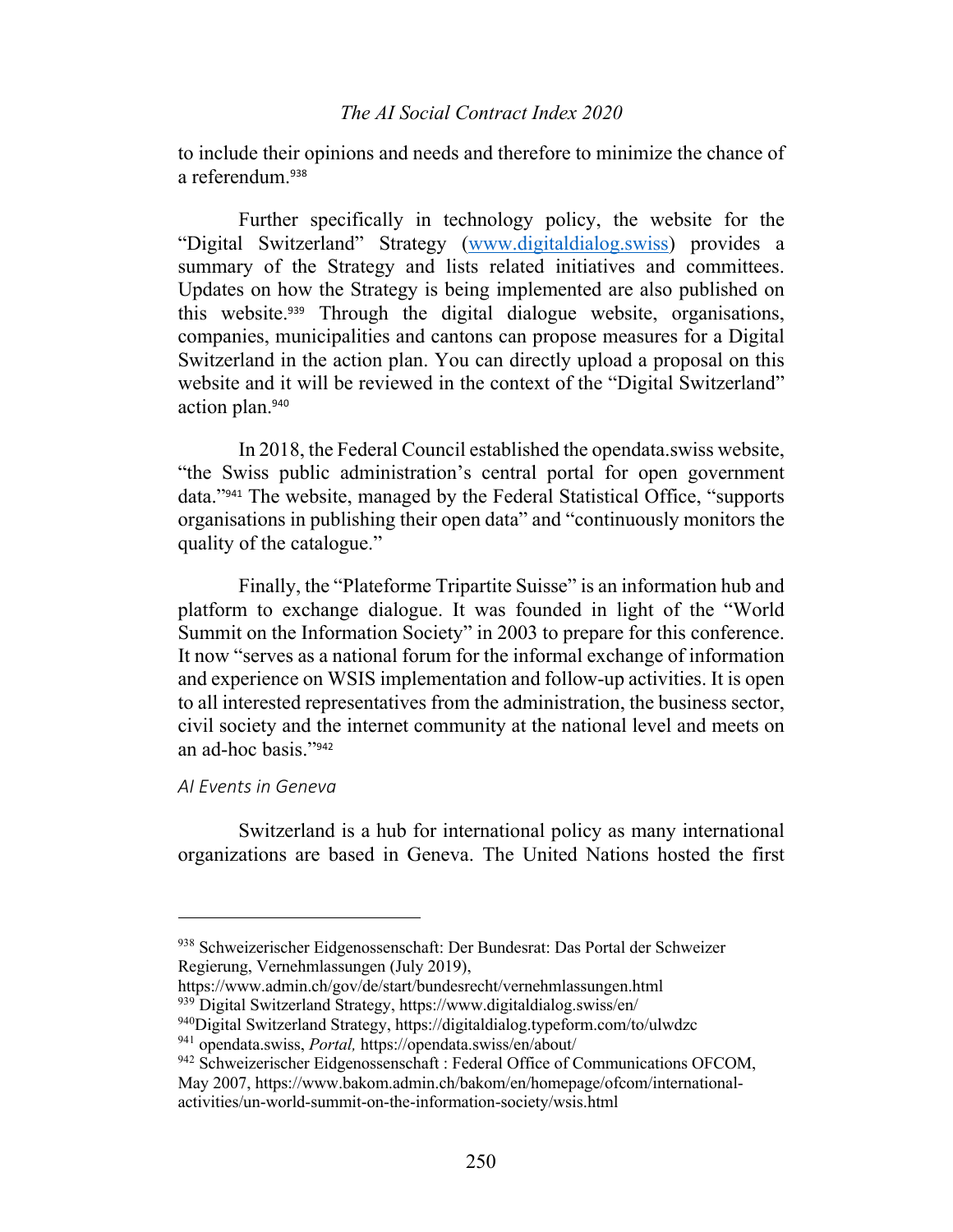to include their opinions and needs and therefore to minimize the chance of a referendum.<sup>938</sup>

Further specifically in technology policy, the website for the "Digital Switzerland" Strategy (www.digitaldialog.swiss) provides a summary of the Strategy and lists related initiatives and committees. Updates on how the Strategy is being implemented are also published on this website.<sup>939</sup> Through the digital dialogue website, organisations, companies, municipalities and cantons can propose measures for a Digital Switzerland in the action plan. You can directly upload a proposal on this website and it will be reviewed in the context of the "Digital Switzerland" action plan.<sup>940</sup>

In 2018, the Federal Council established the opendata.swiss website, "the Swiss public administration's central portal for open government data."<sup>941</sup> The website, managed by the Federal Statistical Office, "supports organisations in publishing their open data" and "continuously monitors the quality of the catalogue."

Finally, the "Plateforme Tripartite Suisse" is an information hub and platform to exchange dialogue. It was founded in light of the "World Summit on the Information Society" in 2003 to prepare for this conference. It now "serves as a national forum for the informal exchange of information and experience on WSIS implementation and follow-up activities. It is open to all interested representatives from the administration, the business sector, civil society and the internet community at the national level and meets on an ad-hoc basis."<sup>942</sup>

## *AI Events in Geneva*

Switzerland is a hub for international policy as many international organizations are based in Geneva. The United Nations hosted the first

<sup>938</sup> Schweizerischer Eidgenossenschaft: Der Bundesrat: Das Portal der Schweizer Regierung, Vernehmlassungen (July 2019),

https://www.admin.ch/gov/de/start/bundesrecht/vernehmlassungen.html

<sup>939</sup> Digital Switzerland Strategy, https://www.digitaldialog.swiss/en/

<sup>940</sup>Digital Switzerland Strategy, https://digitaldialog.typeform.com/to/ulwdzc

<sup>941</sup> opendata.swiss, *Portal,* https://opendata.swiss/en/about/

<sup>&</sup>lt;sup>942</sup> Schweizerischer Eidgenossenschaft : Federal Office of Communications OFCOM,

May 2007, https://www.bakom.admin.ch/bakom/en/homepage/ofcom/internationalactivities/un-world-summit-on-the-information-society/wsis.html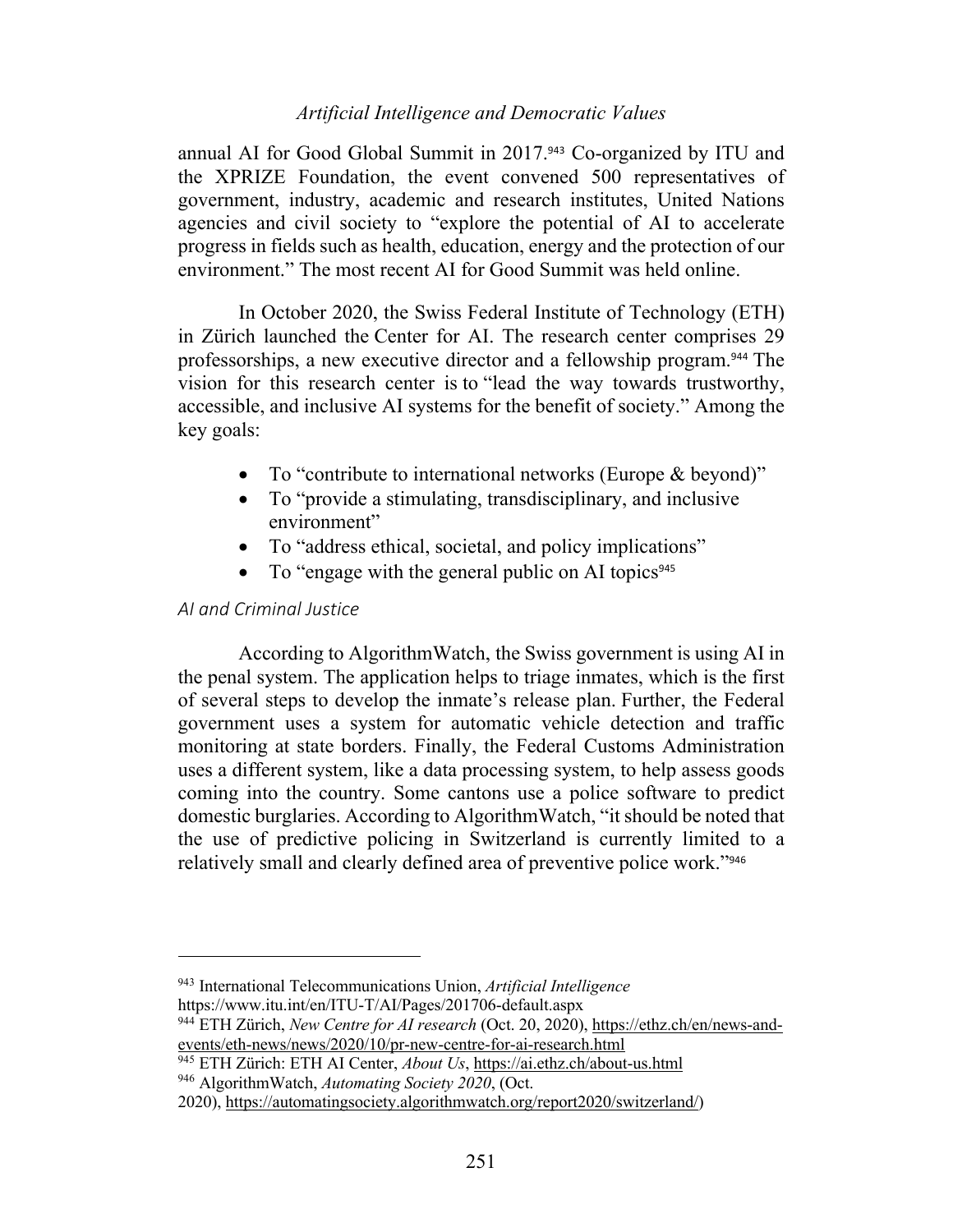annual AI for Good Global Summit in 2017.<sup>943</sup> Co-organized by ITU and the XPRIZE Foundation, the event convened 500 representatives of government, industry, academic and research institutes, United Nations agencies and civil society to "explore the potential of AI to accelerate progress in fields such as health, education, energy and the protection of our environment." The most recent AI for Good Summit was held online.

In October 2020, the Swiss Federal Institute of Technology (ETH) in Zürich launched the Center for AI. The research center comprises 29 professorships, a new executive director and a fellowship program.<sup>944</sup> The vision for this research center is to "lead the way towards trustworthy, accessible, and inclusive AI systems for the benefit of society." Among the key goals:

- To "contribute to international networks (Europe & beyond)"
- To "provide a stimulating, transdisciplinary, and inclusive environment"
- To "address ethical, societal, and policy implications"
- To "engage with the general public on AI topics<sup>945</sup>

## *AI and Criminal Justice*

According to AlgorithmWatch, the Swiss government is using AI in the penal system. The application helps to triage inmates, which is the first of several steps to develop the inmate's release plan. Further, the Federal government uses a system for automatic vehicle detection and traffic monitoring at state borders. Finally, the Federal Customs Administration uses a different system, like a data processing system, to help assess goods coming into the country. Some cantons use a police software to predict domestic burglaries. According to AlgorithmWatch, "it should be noted that the use of predictive policing in Switzerland is currently limited to a relatively small and clearly defined area of preventive police work."<sup>946</sup>

<sup>945</sup> ETH Zürich: ETH AI Center, *About Us*, https://ai.ethz.ch/about-us.html

<sup>946</sup> AlgorithmWatch, *Automating Society 2020*, (Oct.

<sup>943</sup> International Telecommunications Union, *Artificial Intelligence* https://www.itu.int/en/ITU-T/AI/Pages/201706-default.aspx

<sup>944</sup> ETH Zürich, *New Centre for AI research* (Oct. 20, 2020), https://ethz.ch/en/news-andevents/eth-news/news/2020/10/pr-new-centre-for-ai-research.html

<sup>2020),</sup> https://automatingsociety.algorithmwatch.org/report2020/switzerland/)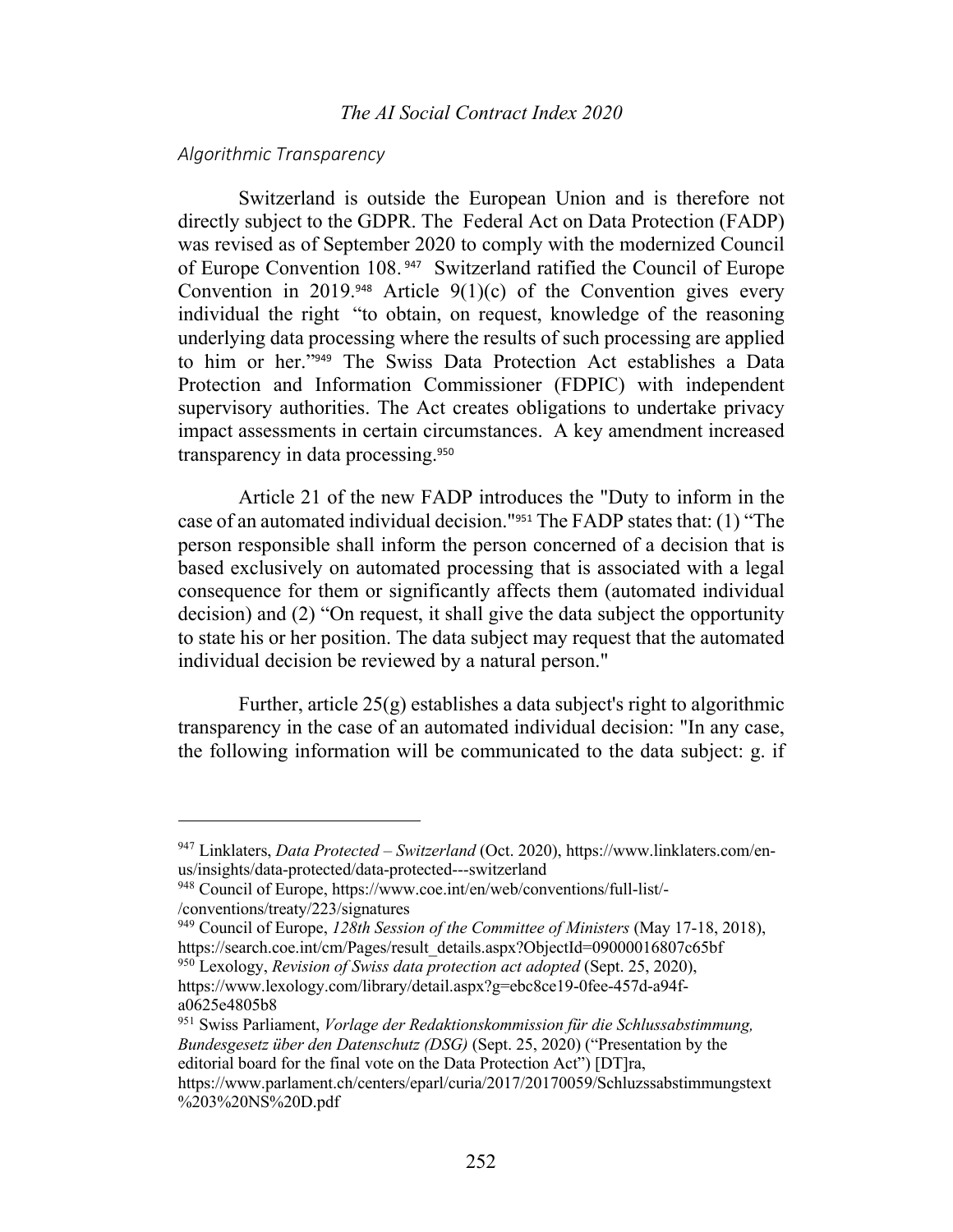#### *Algorithmic Transparency*

Switzerland is outside the European Union and is therefore not directly subject to the GDPR. The Federal Act on Data Protection (FADP) was revised as of September 2020 to comply with the modernized Council of Europe Convention 108. <sup>947</sup> Switzerland ratified the Council of Europe Convention in 2019.<sup>948</sup> Article  $9(1)(c)$  of the Convention gives every individual the right "to obtain, on request, knowledge of the reasoning underlying data processing where the results of such processing are applied to him or her."<sup>949</sup> The Swiss Data Protection Act establishes a Data Protection and Information Commissioner (FDPIC) with independent supervisory authorities. The Act creates obligations to undertake privacy impact assessments in certain circumstances. A key amendment increased transparency in data processing.<sup>950</sup>

Article 21 of the new FADP introduces the "Duty to inform in the case of an automated individual decision."<sup>951</sup> The FADP states that: (1) "The person responsible shall inform the person concerned of a decision that is based exclusively on automated processing that is associated with a legal consequence for them or significantly affects them (automated individual decision) and (2) "On request, it shall give the data subject the opportunity to state his or her position. The data subject may request that the automated individual decision be reviewed by a natural person."

Further, article  $25(g)$  establishes a data subject's right to algorithmic transparency in the case of an automated individual decision: "In any case, the following information will be communicated to the data subject: g. if

<sup>947</sup> Linklaters, *Data Protected – Switzerland* (Oct. 2020), https://www.linklaters.com/enus/insights/data-protected/data-protected---switzerland

<sup>948</sup> Council of Europe, https://www.coe.int/en/web/conventions/full-list/- /conventions/treaty/223/signatures

<sup>949</sup> Council of Europe, *128th Session of the Committee of Ministers* (May 17-18, 2018), https://search.coe.int/cm/Pages/result\_details.aspx?ObjectId=09000016807c65bf

<sup>950</sup> Lexology, *Revision of Swiss data protection act adopted* (Sept. 25, 2020), https://www.lexology.com/library/detail.aspx?g=ebc8ce19-0fee-457d-a94fa0625e4805b8

<sup>951</sup> Swiss Parliament, *Vorlage der Redaktionskommission für die Schlussabstimmung, Bundesgesetz über den Datenschutz (DSG)* (Sept. 25, 2020) ("Presentation by the editorial board for the final vote on the Data Protection Act") [DT]ra,

https://www.parlament.ch/centers/eparl/curia/2017/20170059/Schluzssabstimmungstext %203%20NS%20D.pdf